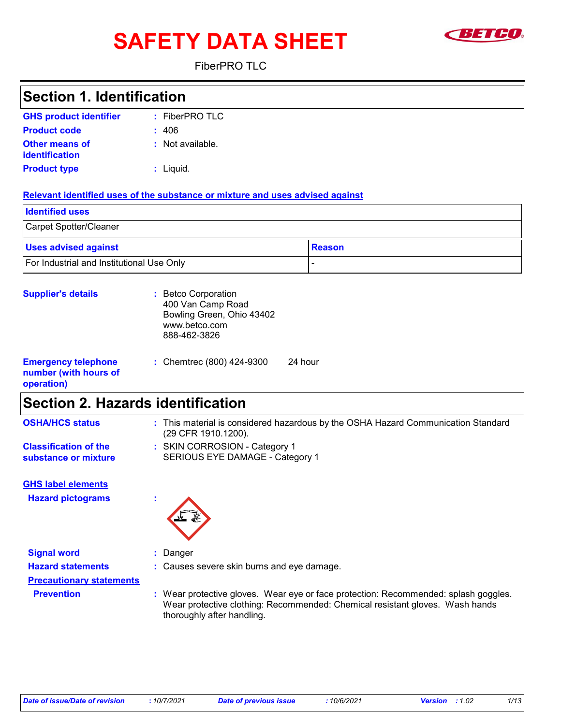# **SAFETY DATA SHEET**



FiberPRO TLC

| <b>Section 1. Identification</b>                                  |                                                                                                          |
|-------------------------------------------------------------------|----------------------------------------------------------------------------------------------------------|
| <b>GHS product identifier</b>                                     | : FiberPRO TLC                                                                                           |
| <b>Product code</b>                                               | 406                                                                                                      |
| <b>Other means of</b><br>identification                           | : Not available.                                                                                         |
| <b>Product type</b>                                               | : Liquid.                                                                                                |
|                                                                   | Relevant identified uses of the substance or mixture and uses advised against                            |
| <b>Identified uses</b>                                            |                                                                                                          |
| Carpet Spotter/Cleaner                                            |                                                                                                          |
| <b>Uses advised against</b>                                       | <b>Reason</b>                                                                                            |
| For Industrial and Institutional Use Only                         | $\frac{1}{2}$                                                                                            |
| <b>Supplier's details</b>                                         | : Betco Corporation<br>400 Van Camp Road<br>Bowling Green, Ohio 43402<br>www.betco.com<br>888-462-3826   |
| <b>Emergency telephone</b><br>number (with hours of<br>operation) | : Chemtrec (800) 424-9300<br>24 hour                                                                     |
| <b>Section 2. Hazards identification</b>                          |                                                                                                          |
| <b>OSHA/HCS status</b>                                            | : This material is considered hazardous by the OSHA Hazard Communication Standard<br>(29 CFR 1910.1200). |
| <b>Classification of the</b><br>substance or mixture              | : SKIN CORROSION - Category 1<br>SERIOUS EYE DAMAGE - Category 1                                         |
| <b>GHS label elements</b><br><b>Hazard pictograms</b>             |                                                                                                          |
| <b>Signal word</b>                                                | : Danger                                                                                                 |

**Precautionary statements**

- **Hazard statements :** Causes severe skin burns and eye damage.
	- **Prevention :** Wear protective gloves. Wear eye or face protection: Recommended: splash goggles. Wear protective clothing: Recommended: Chemical resistant gloves. Wash hands thoroughly after handling.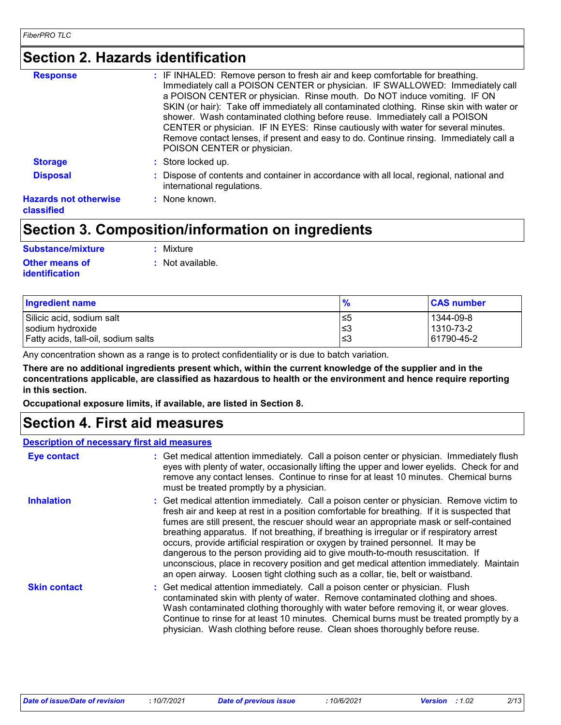# **Section 2. Hazards identification**

| <b>Response</b>                            | : IF INHALED: Remove person to fresh air and keep comfortable for breathing.<br>Immediately call a POISON CENTER or physician. IF SWALLOWED: Immediately call<br>a POISON CENTER or physician. Rinse mouth. Do NOT induce vomiting. IF ON<br>SKIN (or hair): Take off immediately all contaminated clothing. Rinse skin with water or<br>shower. Wash contaminated clothing before reuse. Immediately call a POISON<br>CENTER or physician. IF IN EYES: Rinse cautiously with water for several minutes.<br>Remove contact lenses, if present and easy to do. Continue rinsing. Immediately call a |
|--------------------------------------------|----------------------------------------------------------------------------------------------------------------------------------------------------------------------------------------------------------------------------------------------------------------------------------------------------------------------------------------------------------------------------------------------------------------------------------------------------------------------------------------------------------------------------------------------------------------------------------------------------|
| <b>Storage</b>                             | POISON CENTER or physician.<br>: Store locked up.                                                                                                                                                                                                                                                                                                                                                                                                                                                                                                                                                  |
| <b>Disposal</b>                            | : Dispose of contents and container in accordance with all local, regional, national and<br>international regulations.                                                                                                                                                                                                                                                                                                                                                                                                                                                                             |
| <b>Hazards not otherwise</b><br>classified | $:$ None known.                                                                                                                                                                                                                                                                                                                                                                                                                                                                                                                                                                                    |

### **Section 3. Composition/information on ingredients**

| <b>Substance/mixture</b>                       | : Mixture        |
|------------------------------------------------|------------------|
| <b>Other means of</b><br><b>identification</b> | : Not available. |

| <b>Ingredient name</b>              | $\frac{9}{6}$ | <b>CAS number</b> |
|-------------------------------------|---------------|-------------------|
| Silicic acid, sodium salt           | ≤5            | 1344-09-8         |
| sodium hydroxide                    | ≲3            | 1310-73-2         |
| Fatty acids, tall-oil, sodium salts | ≤3            | 61790-45-2        |

Any concentration shown as a range is to protect confidentiality or is due to batch variation.

**There are no additional ingredients present which, within the current knowledge of the supplier and in the concentrations applicable, are classified as hazardous to health or the environment and hence require reporting in this section.**

**Occupational exposure limits, if available, are listed in Section 8.**

### **Section 4. First aid measures**

### **Description of necessary first aid measures**

| <b>Eye contact</b>  | : Get medical attention immediately. Call a poison center or physician. Immediately flush<br>eyes with plenty of water, occasionally lifting the upper and lower eyelids. Check for and<br>remove any contact lenses. Continue to rinse for at least 10 minutes. Chemical burns<br>must be treated promptly by a physician.                                                                                                                                                                                                                                                                                                                                                                                                        |
|---------------------|------------------------------------------------------------------------------------------------------------------------------------------------------------------------------------------------------------------------------------------------------------------------------------------------------------------------------------------------------------------------------------------------------------------------------------------------------------------------------------------------------------------------------------------------------------------------------------------------------------------------------------------------------------------------------------------------------------------------------------|
| <b>Inhalation</b>   | : Get medical attention immediately. Call a poison center or physician. Remove victim to<br>fresh air and keep at rest in a position comfortable for breathing. If it is suspected that<br>fumes are still present, the rescuer should wear an appropriate mask or self-contained<br>breathing apparatus. If not breathing, if breathing is irregular or if respiratory arrest<br>occurs, provide artificial respiration or oxygen by trained personnel. It may be<br>dangerous to the person providing aid to give mouth-to-mouth resuscitation. If<br>unconscious, place in recovery position and get medical attention immediately. Maintain<br>an open airway. Loosen tight clothing such as a collar, tie, belt or waistband. |
| <b>Skin contact</b> | : Get medical attention immediately. Call a poison center or physician. Flush<br>contaminated skin with plenty of water. Remove contaminated clothing and shoes.<br>Wash contaminated clothing thoroughly with water before removing it, or wear gloves.<br>Continue to rinse for at least 10 minutes. Chemical burns must be treated promptly by a<br>physician. Wash clothing before reuse. Clean shoes thoroughly before reuse.                                                                                                                                                                                                                                                                                                 |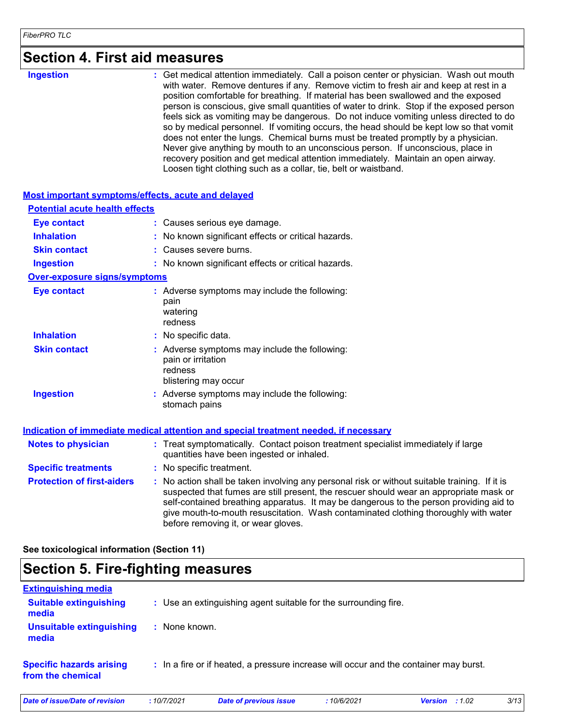| <b>Ingestion</b> |  |
|------------------|--|
|                  |  |

**Ingestion 1988 : Get medical attention immediately. Call a poison center or physician. Wash out mouth <b>inglestion** with water. Remove dentures if any. Remove victim to fresh air and keep at rest in a position comfortable for breathing. If material has been swallowed and the exposed person is conscious, give small quantities of water to drink. Stop if the exposed person feels sick as vomiting may be dangerous. Do not induce vomiting unless directed to do so by medical personnel. If vomiting occurs, the head should be kept low so that vomit does not enter the lungs. Chemical burns must be treated promptly by a physician. Never give anything by mouth to an unconscious person. If unconscious, place in recovery position and get medical attention immediately. Maintain an open airway. Loosen tight clothing such as a collar, tie, belt or waistband.

| Most important symptoms/effects, acute and delayed |                                                                                                                                                                                                                                                                                                                                                                                                               |
|----------------------------------------------------|---------------------------------------------------------------------------------------------------------------------------------------------------------------------------------------------------------------------------------------------------------------------------------------------------------------------------------------------------------------------------------------------------------------|
| <b>Potential acute health effects</b>              |                                                                                                                                                                                                                                                                                                                                                                                                               |
| <b>Eye contact</b>                                 | : Causes serious eye damage.                                                                                                                                                                                                                                                                                                                                                                                  |
| <b>Inhalation</b>                                  | No known significant effects or critical hazards.                                                                                                                                                                                                                                                                                                                                                             |
| <b>Skin contact</b>                                | Causes severe burns.                                                                                                                                                                                                                                                                                                                                                                                          |
| <b>Ingestion</b>                                   | : No known significant effects or critical hazards.                                                                                                                                                                                                                                                                                                                                                           |
| <b>Over-exposure signs/symptoms</b>                |                                                                                                                                                                                                                                                                                                                                                                                                               |
| <b>Eye contact</b>                                 | : Adverse symptoms may include the following:<br>pain<br>watering<br>redness                                                                                                                                                                                                                                                                                                                                  |
| <b>Inhalation</b>                                  | : No specific data.                                                                                                                                                                                                                                                                                                                                                                                           |
| <b>Skin contact</b>                                | : Adverse symptoms may include the following:<br>pain or irritation<br>redness<br>blistering may occur                                                                                                                                                                                                                                                                                                        |
| <b>Ingestion</b>                                   | : Adverse symptoms may include the following:<br>stomach pains                                                                                                                                                                                                                                                                                                                                                |
|                                                    | Indication of immediate medical attention and special treatment needed, if necessary                                                                                                                                                                                                                                                                                                                          |
| <b>Notes to physician</b>                          | : Treat symptomatically. Contact poison treatment specialist immediately if large<br>quantities have been ingested or inhaled.                                                                                                                                                                                                                                                                                |
| <b>Specific treatments</b>                         | : No specific treatment.                                                                                                                                                                                                                                                                                                                                                                                      |
| <b>Protection of first-aiders</b>                  | No action shall be taken involving any personal risk or without suitable training. If it is<br>suspected that fumes are still present, the rescuer should wear an appropriate mask or<br>self-contained breathing apparatus. It may be dangerous to the person providing aid to<br>give mouth-to-mouth resuscitation. Wash contaminated clothing thoroughly with water<br>before removing it, or wear gloves. |

**See toxicological information (Section 11)**

### **Section 5. Fire-fighting measures**

| <b>Extinguishing media</b>                           |               |                                                                                       |            |                         |      |
|------------------------------------------------------|---------------|---------------------------------------------------------------------------------------|------------|-------------------------|------|
| <b>Suitable extinguishing</b><br>media               |               | : Use an extinguishing agent suitable for the surrounding fire.                       |            |                         |      |
| <b>Unsuitable extinguishing</b><br>media             | : None known. |                                                                                       |            |                         |      |
| <b>Specific hazards arising</b><br>from the chemical |               | : In a fire or if heated, a pressure increase will occur and the container may burst. |            |                         |      |
| Date of issue/Date of revision                       | :10/7/2021    | Date of previous issue                                                                | :10/6/2021 | <b>Version</b> : $1.02$ | 3/13 |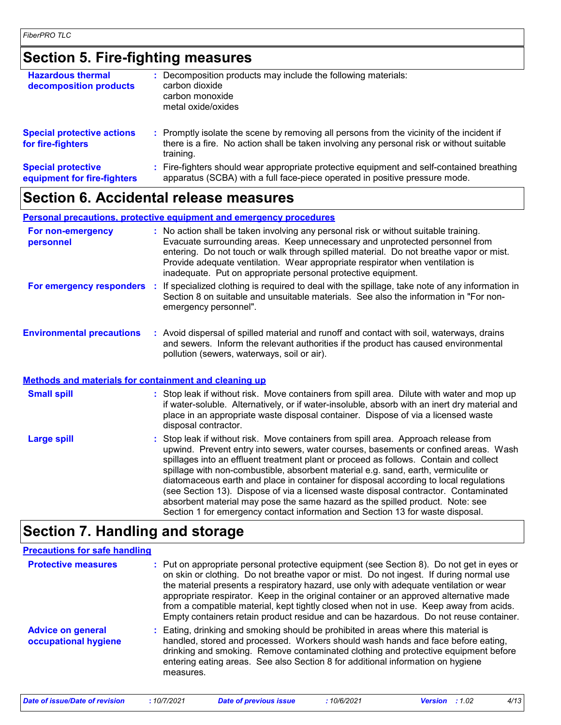### **Section 5. Fire-fighting measures**

| <b>Hazardous thermal</b><br>decomposition products       | Decomposition products may include the following materials:<br>carbon dioxide<br>carbon monoxide<br>metal oxide/oxides                                                                              |
|----------------------------------------------------------|-----------------------------------------------------------------------------------------------------------------------------------------------------------------------------------------------------|
| <b>Special protective actions</b><br>for fire-fighters   | : Promptly isolate the scene by removing all persons from the vicinity of the incident if<br>there is a fire. No action shall be taken involving any personal risk or without suitable<br>training. |
| <b>Special protective</b><br>equipment for fire-fighters | Fire-fighters should wear appropriate protective equipment and self-contained breathing<br>apparatus (SCBA) with a full face-piece operated in positive pressure mode.                              |

### **Section 6. Accidental release measures**

**Personal precautions, protective equipment and emergency procedures**

| For non-emergency<br>personnel |     | : No action shall be taken involving any personal risk or without suitable training.<br>Evacuate surrounding areas. Keep unnecessary and unprotected personnel from<br>entering. Do not touch or walk through spilled material. Do not breathe vapor or mist.<br>Provide adequate ventilation. Wear appropriate respirator when ventilation is<br>inadequate. Put on appropriate personal protective equipment. |
|--------------------------------|-----|-----------------------------------------------------------------------------------------------------------------------------------------------------------------------------------------------------------------------------------------------------------------------------------------------------------------------------------------------------------------------------------------------------------------|
| For emergency responders       | -11 | If specialized clothing is required to deal with the spillage, take note of any information in<br>Section 8 on suitable and unsuitable materials. See also the information in "For non-<br>emergency personnel".                                                                                                                                                                                                |

**Environmental precautions :** Avoid dispersal of spilled material and runoff and contact with soil, waterways, drains and sewers. Inform the relevant authorities if the product has caused environmental pollution (sewers, waterways, soil or air).

### **Methods and materials for containment and cleaning up**

| <b>Small spill</b> | : Stop leak if without risk. Move containers from spill area. Dilute with water and mop up<br>if water-soluble. Alternatively, or if water-insoluble, absorb with an inert dry material and<br>place in an appropriate waste disposal container. Dispose of via a licensed waste<br>disposal contractor.                                                                                                                                                                                                                                                                                                                                                                                                     |
|--------------------|--------------------------------------------------------------------------------------------------------------------------------------------------------------------------------------------------------------------------------------------------------------------------------------------------------------------------------------------------------------------------------------------------------------------------------------------------------------------------------------------------------------------------------------------------------------------------------------------------------------------------------------------------------------------------------------------------------------|
| <b>Large spill</b> | : Stop leak if without risk. Move containers from spill area. Approach release from<br>upwind. Prevent entry into sewers, water courses, basements or confined areas. Wash<br>spillages into an effluent treatment plant or proceed as follows. Contain and collect<br>spillage with non-combustible, absorbent material e.g. sand, earth, vermiculite or<br>diatomaceous earth and place in container for disposal according to local regulations<br>(see Section 13). Dispose of via a licensed waste disposal contractor. Contaminated<br>absorbent material may pose the same hazard as the spilled product. Note: see<br>Section 1 for emergency contact information and Section 13 for waste disposal. |

### **Section 7. Handling and storage**

### **Precautions for safe handling**

| <b>Protective measures</b>                       | : Put on appropriate personal protective equipment (see Section 8). Do not get in eyes or<br>on skin or clothing. Do not breathe vapor or mist. Do not ingest. If during normal use<br>the material presents a respiratory hazard, use only with adequate ventilation or wear<br>appropriate respirator. Keep in the original container or an approved alternative made<br>from a compatible material, kept tightly closed when not in use. Keep away from acids.<br>Empty containers retain product residue and can be hazardous. Do not reuse container. |
|--------------------------------------------------|------------------------------------------------------------------------------------------------------------------------------------------------------------------------------------------------------------------------------------------------------------------------------------------------------------------------------------------------------------------------------------------------------------------------------------------------------------------------------------------------------------------------------------------------------------|
| <b>Advice on general</b><br>occupational hygiene | : Eating, drinking and smoking should be prohibited in areas where this material is<br>handled, stored and processed. Workers should wash hands and face before eating,<br>drinking and smoking. Remove contaminated clothing and protective equipment before<br>entering eating areas. See also Section 8 for additional information on hygiene<br>measures.                                                                                                                                                                                              |

*Date of issue/Date of revision* **:** *10/7/2021 Date of previous issue : 10/6/2021 Version : 1.02 4/13*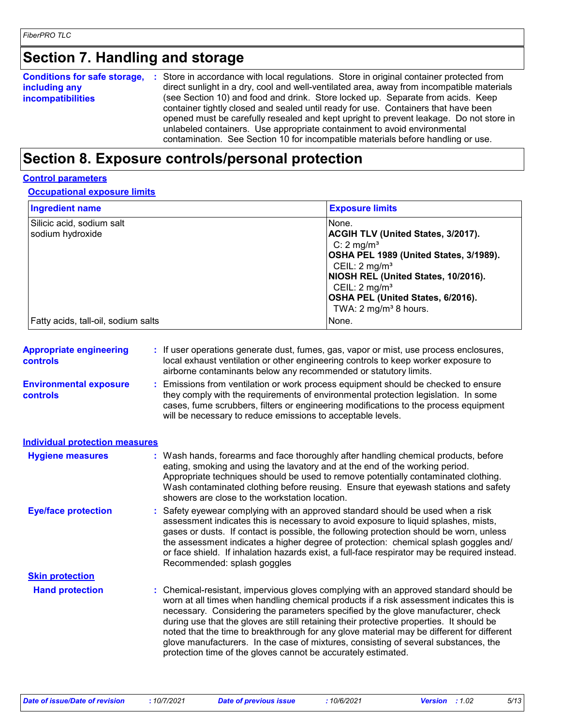### **Section 7. Handling and storage**

| <b>Conditions for safe storage,</b><br>including any<br><i>incompatibilities</i> | : Store in accordance with local regulations. Store in original container protected from<br>direct sunlight in a dry, cool and well-ventilated area, away from incompatible materials<br>(see Section 10) and food and drink. Store locked up. Separate from acids. Keep<br>container tightly closed and sealed until ready for use. Containers that have been<br>opened must be carefully resealed and kept upright to prevent leakage. Do not store in |
|----------------------------------------------------------------------------------|----------------------------------------------------------------------------------------------------------------------------------------------------------------------------------------------------------------------------------------------------------------------------------------------------------------------------------------------------------------------------------------------------------------------------------------------------------|
|                                                                                  | unlabeled containers. Use appropriate containment to avoid environmental<br>contamination. See Section 10 for incompatible materials before handling or use.                                                                                                                                                                                                                                                                                             |

# **Section 8. Exposure controls/personal protection**

### **Control parameters**

**Occupational exposure limits**

| <b>Ingredient name</b>                        | <b>Exposure limits</b>                                                                                                                                                                                                                                                                               |
|-----------------------------------------------|------------------------------------------------------------------------------------------------------------------------------------------------------------------------------------------------------------------------------------------------------------------------------------------------------|
| Silicic acid, sodium salt<br>sodium hydroxide | None.<br><b>ACGIH TLV (United States, 3/2017).</b><br>C: $2 \text{ mg/m}^3$<br>OSHA PEL 1989 (United States, 3/1989).<br>CEIL: $2 \text{ mg/m}^3$<br>NIOSH REL (United States, 10/2016).<br>CEIL: $2 \text{ mg/m}^3$<br><b>OSHA PEL (United States, 6/2016).</b><br>TWA: $2 \text{ mg/m}^3$ 8 hours. |
| Fatty acids, tall-oil, sodium salts           | None.                                                                                                                                                                                                                                                                                                |

| <b>Appropriate engineering</b><br><b>controls</b> | If user operations generate dust, fumes, gas, vapor or mist, use process enclosures,<br>local exhaust ventilation or other engineering controls to keep worker exposure to<br>airborne contaminants below any recommended or statutory limits.                                                                                                                                                                                                                                                                                                                                                                         |
|---------------------------------------------------|------------------------------------------------------------------------------------------------------------------------------------------------------------------------------------------------------------------------------------------------------------------------------------------------------------------------------------------------------------------------------------------------------------------------------------------------------------------------------------------------------------------------------------------------------------------------------------------------------------------------|
| <b>Environmental exposure</b><br><b>controls</b>  | Emissions from ventilation or work process equipment should be checked to ensure<br>they comply with the requirements of environmental protection legislation. In some<br>cases, fume scrubbers, filters or engineering modifications to the process equipment<br>will be necessary to reduce emissions to acceptable levels.                                                                                                                                                                                                                                                                                          |
| <b>Individual protection measures</b>             |                                                                                                                                                                                                                                                                                                                                                                                                                                                                                                                                                                                                                        |
| <b>Hygiene measures</b>                           | : Wash hands, forearms and face thoroughly after handling chemical products, before<br>eating, smoking and using the lavatory and at the end of the working period.<br>Appropriate techniques should be used to remove potentially contaminated clothing.<br>Wash contaminated clothing before reusing. Ensure that eyewash stations and safety<br>showers are close to the workstation location.                                                                                                                                                                                                                      |
| <b>Eye/face protection</b>                        | Safety eyewear complying with an approved standard should be used when a risk<br>assessment indicates this is necessary to avoid exposure to liquid splashes, mists,<br>gases or dusts. If contact is possible, the following protection should be worn, unless<br>the assessment indicates a higher degree of protection: chemical splash goggles and/<br>or face shield. If inhalation hazards exist, a full-face respirator may be required instead.<br>Recommended: splash goggles                                                                                                                                 |
| <b>Skin protection</b>                            |                                                                                                                                                                                                                                                                                                                                                                                                                                                                                                                                                                                                                        |
| <b>Hand protection</b>                            | : Chemical-resistant, impervious gloves complying with an approved standard should be<br>worn at all times when handling chemical products if a risk assessment indicates this is<br>necessary. Considering the parameters specified by the glove manufacturer, check<br>during use that the gloves are still retaining their protective properties. It should be<br>noted that the time to breakthrough for any glove material may be different for different<br>glove manufacturers. In the case of mixtures, consisting of several substances, the<br>protection time of the gloves cannot be accurately estimated. |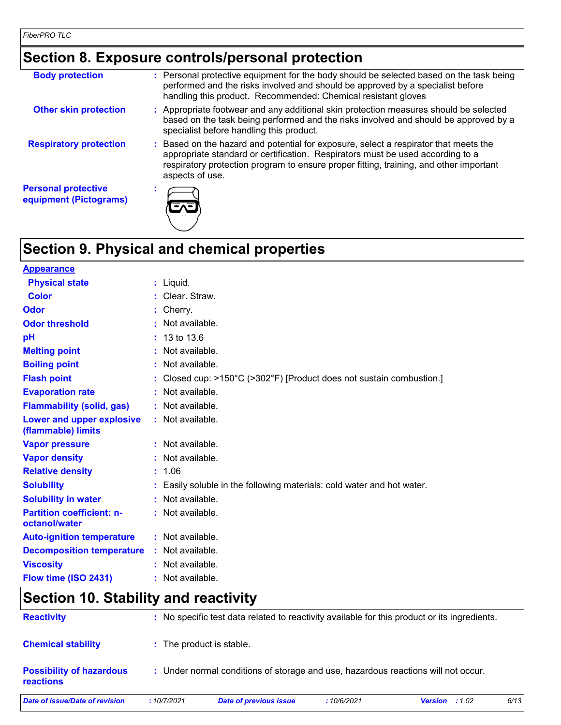# **Section 8. Exposure controls/personal protection**

| <b>Body protection</b>                               | : Personal protective equipment for the body should be selected based on the task being<br>performed and the risks involved and should be approved by a specialist before<br>handling this product. Recommended: Chemical resistant gloves                                          |
|------------------------------------------------------|-------------------------------------------------------------------------------------------------------------------------------------------------------------------------------------------------------------------------------------------------------------------------------------|
| <b>Other skin protection</b>                         | : Appropriate footwear and any additional skin protection measures should be selected<br>based on the task being performed and the risks involved and should be approved by a<br>specialist before handling this product.                                                           |
| <b>Respiratory protection</b>                        | : Based on the hazard and potential for exposure, select a respirator that meets the<br>appropriate standard or certification. Respirators must be used according to a<br>respiratory protection program to ensure proper fitting, training, and other important<br>aspects of use. |
| <b>Personal protective</b><br>equipment (Pictograms) |                                                                                                                                                                                                                                                                                     |

# **Section 9. Physical and chemical properties**

| <b>Appearance</b>                                 |                                                                        |
|---------------------------------------------------|------------------------------------------------------------------------|
| <b>Physical state</b>                             | $:$ Liquid.                                                            |
| <b>Color</b>                                      | : Clear. Straw.                                                        |
| Odor                                              | : Cherry.                                                              |
| <b>Odor threshold</b>                             | : Not available.                                                       |
| pH                                                | $: 13 \text{ to } 13.6$                                                |
| <b>Melting point</b>                              | : Not available.                                                       |
| <b>Boiling point</b>                              | : Not available.                                                       |
| <b>Flash point</b>                                | : Closed cup: >150°C (>302°F) [Product does not sustain combustion.]   |
| <b>Evaporation rate</b>                           | : Not available.                                                       |
| <b>Flammability (solid, gas)</b>                  | : Not available.                                                       |
| Lower and upper explosive<br>(flammable) limits   | : Not available.                                                       |
| <b>Vapor pressure</b>                             | : Not available.                                                       |
| <b>Vapor density</b>                              | : Not available.                                                       |
| <b>Relative density</b>                           | : 1.06                                                                 |
| <b>Solubility</b>                                 | : Easily soluble in the following materials: cold water and hot water. |
| <b>Solubility in water</b>                        | : Not available.                                                       |
| <b>Partition coefficient: n-</b><br>octanol/water | : Not available.                                                       |
| <b>Auto-ignition temperature</b>                  | : Not available.                                                       |
| <b>Decomposition temperature</b>                  | : Not available.                                                       |
| <b>Viscosity</b>                                  | : Not available.                                                       |
| Flow time (ISO 2431)                              | : Not available.                                                       |

# **Section 10. Stability and reactivity**

| <b>Reactivity</b>                            |            | : No specific test data related to reactivity available for this product or its ingredients. |            |                |      |
|----------------------------------------------|------------|----------------------------------------------------------------------------------------------|------------|----------------|------|
| <b>Chemical stability</b>                    |            | : The product is stable.                                                                     |            |                |      |
| <b>Possibility of hazardous</b><br>reactions |            | : Under normal conditions of storage and use, hazardous reactions will not occur.            |            |                |      |
| Date of issue/Date of revision               | :10/7/2021 | <b>Date of previous issue</b>                                                                | :10/6/2021 | Version : 1.02 | 6/13 |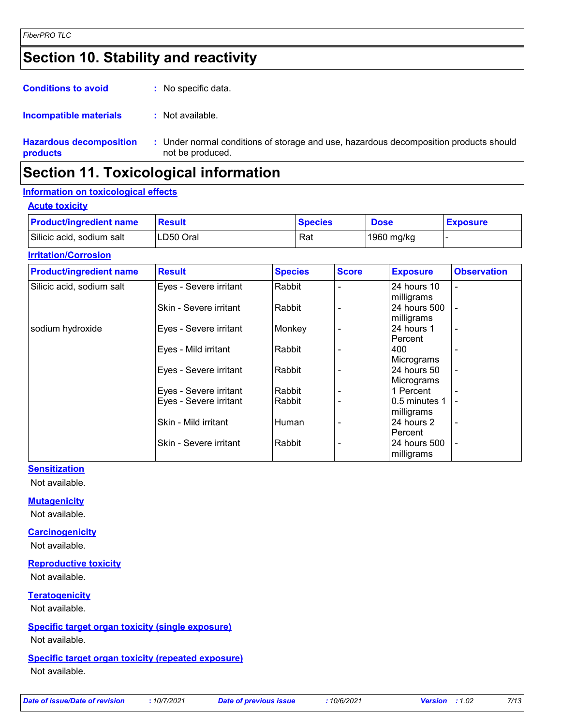# **Section 10. Stability and reactivity**

| <b>Conditions to avoid</b>                 | : No specific data.                                                                                       |
|--------------------------------------------|-----------------------------------------------------------------------------------------------------------|
| Incompatible materials                     | : Not available.                                                                                          |
| <b>Hazardous decomposition</b><br>products | : Under normal conditions of storage and use, hazardous decomposition products should<br>not be produced. |

### **Section 11. Toxicological information**

### **Information on toxicological effects**

#### **Acute toxicity**

| <b>Product/ingredient name</b> | Result    | <b>Species</b> | <b>Dose</b> | <b>Exposure</b> |
|--------------------------------|-----------|----------------|-------------|-----------------|
| Silicic acid, sodium salt      | LD50 Oral | Rat            | 1960 mg/kg  |                 |

#### **Irritation/Corrosion**

| <b>Product/ingredient name</b> | <b>Result</b>          | <b>Species</b> | <b>Score</b> | <b>Exposure</b> | <b>Observation</b>       |
|--------------------------------|------------------------|----------------|--------------|-----------------|--------------------------|
| Silicic acid, sodium salt      | Eyes - Severe irritant | Rabbit         |              | 24 hours 10     |                          |
|                                |                        |                |              | milligrams      |                          |
|                                | Skin - Severe irritant | Rabbit         |              | 24 hours 500    |                          |
|                                |                        |                |              | milligrams      |                          |
| sodium hydroxide               | Eyes - Severe irritant | Monkey         |              | 24 hours 1      |                          |
|                                |                        |                |              | Percent         |                          |
|                                | Eyes - Mild irritant   | Rabbit         |              | 400             |                          |
|                                |                        |                |              | Micrograms      |                          |
|                                | Eyes - Severe irritant | Rabbit         |              | 24 hours 50     | $\overline{\phantom{a}}$ |
|                                |                        |                |              | Micrograms      |                          |
|                                | Eyes - Severe irritant | Rabbit         |              | 1 Percent       |                          |
|                                | Eyes - Severe irritant | Rabbit         |              | 0.5 minutes 1   | $\overline{\phantom{a}}$ |
|                                |                        |                |              | milligrams      |                          |
|                                | Skin - Mild irritant   | Human          |              | 24 hours 2      |                          |
|                                |                        |                |              | Percent         |                          |
|                                | Skin - Severe irritant | Rabbit         |              | 24 hours 500    |                          |
|                                |                        |                |              | milligrams      |                          |

#### **Sensitization**

Not available.

#### **Mutagenicity**

Not available.

#### **Carcinogenicity**

Not available.

### **Reproductive toxicity**

Not available.

**Teratogenicity**

Not available.

### **Specific target organ toxicity (single exposure)**

Not available.

### **Specific target organ toxicity (repeated exposure)**

Not available.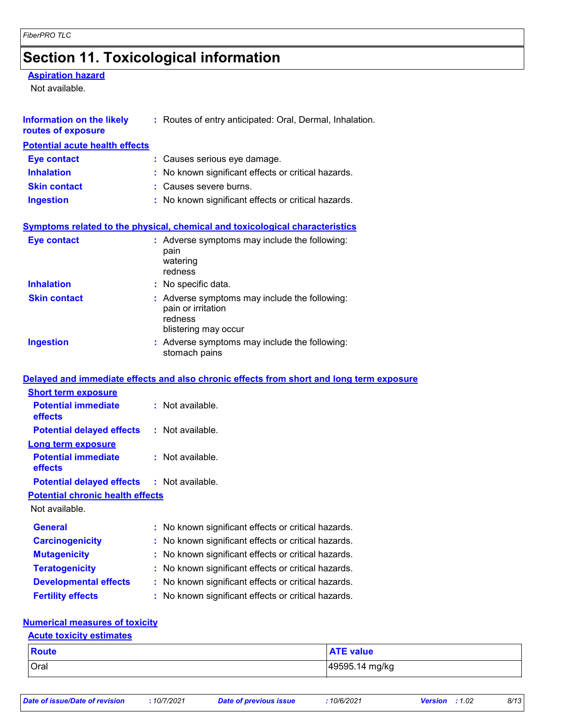# **Section 11. Toxicological information**

### **Aspiration hazard**

Not available.

| <b>Information on the likely</b><br>routes of exposure | : Routes of entry anticipated: Oral, Dermal, Inhalation.                                               |  |  |  |
|--------------------------------------------------------|--------------------------------------------------------------------------------------------------------|--|--|--|
| <b>Potential acute health effects</b>                  |                                                                                                        |  |  |  |
| <b>Eye contact</b>                                     | : Causes serious eye damage.                                                                           |  |  |  |
| <b>Inhalation</b>                                      | No known significant effects or critical hazards.                                                      |  |  |  |
| <b>Skin contact</b>                                    | : Causes severe burns.                                                                                 |  |  |  |
| <b>Ingestion</b>                                       | : No known significant effects or critical hazards.                                                    |  |  |  |
|                                                        | Symptoms related to the physical, chemical and toxicological characteristics                           |  |  |  |
| <b>Eye contact</b>                                     | : Adverse symptoms may include the following:<br>pain<br>watering<br>redness                           |  |  |  |
| <b>Inhalation</b>                                      | : No specific data.                                                                                    |  |  |  |
| <b>Skin contact</b>                                    | : Adverse symptoms may include the following:<br>pain or irritation<br>redness<br>blistering may occur |  |  |  |
| <b>Ingestion</b>                                       | : Adverse symptoms may include the following:<br>stomach pains                                         |  |  |  |
|                                                        | Delayed and immediate effects and also chronic effects from short and long term exposure               |  |  |  |
| <b>Short term exposure</b>                             |                                                                                                        |  |  |  |
| <b>Potential immediate</b><br>effects                  | : Not available.                                                                                       |  |  |  |
| <b>Potential delayed effects</b>                       | : Not available.                                                                                       |  |  |  |
| <b>Long term exposure</b>                              |                                                                                                        |  |  |  |
| <b>Potential immediate</b><br>effects                  | : Not available.                                                                                       |  |  |  |
| <b>Potential delayed effects</b>                       | $:$ Not available.                                                                                     |  |  |  |
| <b>Potential chronic health effects</b>                |                                                                                                        |  |  |  |
| Not available.                                         |                                                                                                        |  |  |  |
| <b>General</b>                                         | No known significant effects or critical hazards.                                                      |  |  |  |
| <b>Carcinogenicity</b>                                 | No known significant effects or critical hazards.                                                      |  |  |  |
| <b>Mutagenicity</b>                                    | No known significant effects or critical hazards.                                                      |  |  |  |
| <b>Teratogenicity</b>                                  | No known significant effects or critical hazards.                                                      |  |  |  |
| <b>Developmental effects</b>                           | No known significant effects or critical hazards.                                                      |  |  |  |
| <b>Fertility effects</b>                               | No known significant effects or critical hazards.                                                      |  |  |  |
| <b>Numerical measures of toxicity</b>                  |                                                                                                        |  |  |  |

### **Acute toxicity estimates**

| <b>Route</b> | <b>ATE value</b> |
|--------------|------------------|
| Oral         | 49595.14 mg/kg   |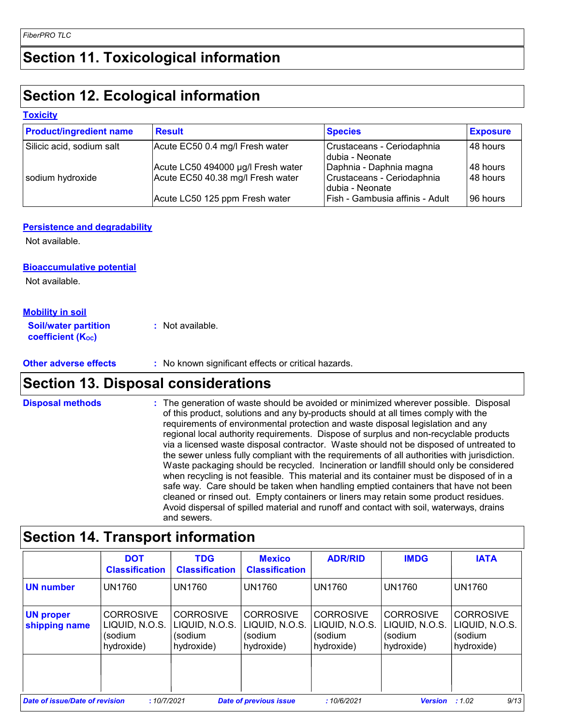# **Section 11. Toxicological information**

# **Section 12. Ecological information**

### **Toxicity**

| <b>Product/ingredient name</b> | <b>Result</b>                      | <b>Species</b>                                 | <b>Exposure</b> |
|--------------------------------|------------------------------------|------------------------------------------------|-----------------|
| Silicic acid, sodium salt      | Acute EC50 0.4 mg/l Fresh water    | Crustaceans - Ceriodaphnia<br>Idubia - Neonate | 48 hours        |
|                                | Acute LC50 494000 µg/l Fresh water | Daphnia - Daphnia magna                        | 48 hours        |
| sodium hydroxide               | Acute EC50 40.38 mg/l Fresh water  | Crustaceans - Ceriodaphnia<br>dubia - Neonate  | 148 hours       |
|                                | Acute LC50 125 ppm Fresh water     | Fish - Gambusia affinis - Adult                | 96 hours        |

### **Persistence and degradability**

Not available.

### **Bioaccumulative potential**

Not available.

### **Mobility in soil**

| <b>Soil/water partition</b>    | : Not available. |
|--------------------------------|------------------|
| coefficient (K <sub>oc</sub> ) |                  |

### **Other adverse effects** : No known significant effects or critical hazards.

### **Section 13. Disposal considerations**

**Disposal methods :**

The generation of waste should be avoided or minimized wherever possible. Disposal of this product, solutions and any by-products should at all times comply with the requirements of environmental protection and waste disposal legislation and any regional local authority requirements. Dispose of surplus and non-recyclable products via a licensed waste disposal contractor. Waste should not be disposed of untreated to the sewer unless fully compliant with the requirements of all authorities with jurisdiction. Waste packaging should be recycled. Incineration or landfill should only be considered when recycling is not feasible. This material and its container must be disposed of in a safe way. Care should be taken when handling emptied containers that have not been cleaned or rinsed out. Empty containers or liners may retain some product residues. Avoid dispersal of spilled material and runoff and contact with soil, waterways, drains and sewers.

|                                   | <b>DOT</b><br><b>Classification</b>                         | <b>TDG</b><br><b>Classification</b>                         | <b>Mexico</b><br><b>Classification</b>                      | <b>ADR/RID</b>                                              | <b>IMDG</b>                                                 | <b>IATA</b>                                                 |
|-----------------------------------|-------------------------------------------------------------|-------------------------------------------------------------|-------------------------------------------------------------|-------------------------------------------------------------|-------------------------------------------------------------|-------------------------------------------------------------|
| <b>UN number</b>                  | <b>UN1760</b>                                               | <b>UN1760</b>                                               | <b>UN1760</b>                                               | <b>UN1760</b>                                               | <b>UN1760</b>                                               | <b>UN1760</b>                                               |
| <b>UN proper</b><br>shipping name | <b>CORROSIVE</b><br>LIQUID, N.O.S.<br>(sodium<br>hydroxide) | <b>CORROSIVE</b><br>LIQUID, N.O.S.<br>(sodium<br>hydroxide) | <b>CORROSIVE</b><br>LIQUID, N.O.S.<br>(sodium<br>hydroxide) | <b>CORROSIVE</b><br>LIQUID, N.O.S.<br>(sodium<br>hydroxide) | <b>CORROSIVE</b><br>LIQUID, N.O.S.<br>(sodium<br>hydroxide) | <b>CORROSIVE</b><br>LIQUID, N.O.S.<br>(sodium<br>hydroxide) |
|                                   |                                                             |                                                             |                                                             |                                                             |                                                             |                                                             |
| Date of issue/Date of revision    | :10/7/2021                                                  |                                                             | <b>Date of previous issue</b>                               | :10/6/2021                                                  | <b>Version</b>                                              | 9/13<br>:1.02                                               |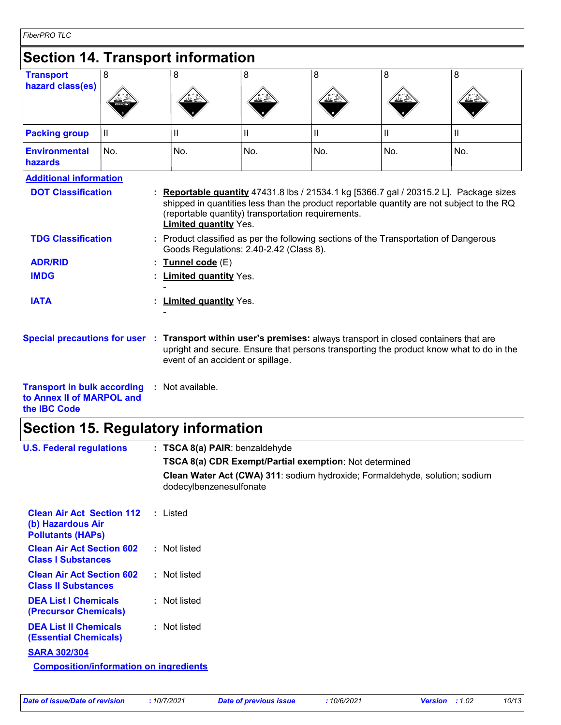| FiberPRO TLC |  |
|--------------|--|
|              |  |

| <b>Section 14. Transport information</b>                                                                        |              |    |                                                 |                                                                                               |              |                            |                                                                                                                                                                                  |
|-----------------------------------------------------------------------------------------------------------------|--------------|----|-------------------------------------------------|-----------------------------------------------------------------------------------------------|--------------|----------------------------|----------------------------------------------------------------------------------------------------------------------------------------------------------------------------------|
| <b>Transport</b><br>hazard class(es)                                                                            | 8            |    | 8                                               | 8                                                                                             | 8            | 8                          | 8                                                                                                                                                                                |
| <b>Packing group</b>                                                                                            | $\mathbf{I}$ |    | Ш                                               | Ш                                                                                             | $\mathbf{I}$ | $\ensuremath{\mathsf{II}}$ | Ш                                                                                                                                                                                |
| <b>Environmental</b><br>hazards                                                                                 | No.          |    | No.                                             | No.                                                                                           | No.          | No.                        | No.                                                                                                                                                                              |
| <b>TDG Classification</b>                                                                                       |              |    | <b>Limited quantity Yes.</b>                    | (reportable quantity) transportation requirements.<br>Goods Regulations: 2.40-2.42 (Class 8). |              |                            | shipped in quantities less than the product reportable quantity are not subject to the RQ<br>Product classified as per the following sections of the Transportation of Dangerous |
| <b>ADR/RID</b><br><b>IMDG</b>                                                                                   |              |    | Tunnel code (E)<br><b>Limited quantity Yes.</b> |                                                                                               |              |                            |                                                                                                                                                                                  |
| <b>IATA</b>                                                                                                     |              |    | <b>Limited quantity Yes.</b>                    |                                                                                               |              |                            |                                                                                                                                                                                  |
| Special precautions for user : Transport within user's premises: always transport in closed containers that are |              |    |                                                 | event of an accident or spillage.                                                             |              |                            | upright and secure. Ensure that persons transporting the product know what to do in the                                                                                          |
| <b>Transport in bulk according</b><br>to Annex II of MARPOL and<br>the <b>IBC</b> Code                          |              | ÷. | Not available.                                  |                                                                                               |              |                            |                                                                                                                                                                                  |

# **Section 15. Regulatory information**

| <b>U.S. Federal regulations</b>                                                   | : TSCA 8(a) PAIR: benzaldehyde                                                                         |
|-----------------------------------------------------------------------------------|--------------------------------------------------------------------------------------------------------|
|                                                                                   | <b>TSCA 8(a) CDR Exempt/Partial exemption: Not determined</b>                                          |
|                                                                                   | Clean Water Act (CWA) 311: sodium hydroxide; Formaldehyde, solution; sodium<br>dodecylbenzenesulfonate |
| <b>Clean Air Act Section 112</b><br>(b) Hazardous Air<br><b>Pollutants (HAPS)</b> | : Listed                                                                                               |
| <b>Clean Air Act Section 602</b><br><b>Class I Substances</b>                     | : Not listed                                                                                           |
| <b>Clean Air Act Section 602</b><br><b>Class II Substances</b>                    | : Not listed                                                                                           |
| <b>DEA List I Chemicals</b><br>(Precursor Chemicals)                              | : Not listed                                                                                           |
| <b>DEA List II Chemicals</b><br><b>(Essential Chemicals)</b>                      | : Not listed                                                                                           |
| <b>SARA 302/304</b>                                                               |                                                                                                        |
| <b>Composition/information on ingredients</b>                                     |                                                                                                        |
|                                                                                   |                                                                                                        |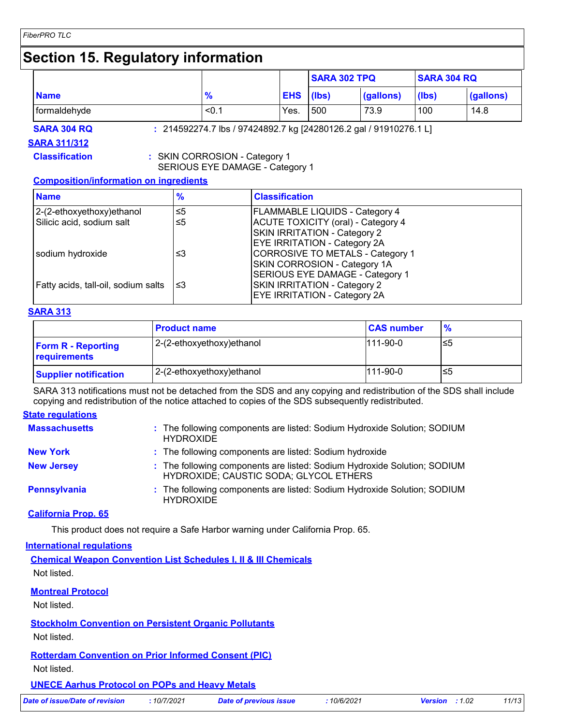### **Section 15. Regulatory information**

|               |            |     |                   | <b>SARA 304 RQ</b>  |           |
|---------------|------------|-----|-------------------|---------------------|-----------|
| $\frac{1}{2}$ | <b>EHS</b> |     | (gallons)         | (lbs)               | (gallons) |
| < 0.1         | Yes.       | 500 | 73.9              | 100                 | 14.8      |
|               |            |     | $(\mathsf{libs})$ | <b>SARA 302 TPQ</b> |           |

**SARA 311/312**

**SARA 304 RQ :** 214592274.7 lbs / 97424892.7 kg [24280126.2 gal / 91910276.1 L]

**Classification :** SKIN CORROSION - Category 1

SERIOUS EYE DAMAGE - Category 1

### **Composition/information on ingredients**

| <b>Name</b>                         | $\frac{9}{6}$ | <b>Classification</b>                     |
|-------------------------------------|---------------|-------------------------------------------|
| 2-(2-ethoxyethoxy) ethanol          | $\leq 5$      | <b>FLAMMABLE LIQUIDS - Category 4</b>     |
| Silicic acid, sodium salt           | ≤5            | <b>ACUTE TOXICITY (oral) - Category 4</b> |
|                                     |               | SKIN IRRITATION - Category 2              |
|                                     |               | <b>EYE IRRITATION - Category 2A</b>       |
| sodium hydroxide                    | ≤3            | CORROSIVE TO METALS - Category 1          |
|                                     |               | SKIN CORROSION - Category 1A              |
|                                     |               | SERIOUS EYE DAMAGE - Category 1           |
| Fatty acids, tall-oil, sodium salts | ו≥ ≥          | SKIN IRRITATION - Category 2              |
|                                     |               | <b>EYE IRRITATION - Category 2A</b>       |

### **SARA 313**

|                                           | <b>Product name</b>       | <b>CAS number</b> | $\frac{9}{6}$ |
|-------------------------------------------|---------------------------|-------------------|---------------|
| <b>Form R - Reporting</b><br>requirements | 2-(2-ethoxyethoxy)ethanol | $111-90-0$        | ≤5            |
| <b>Supplier notification</b>              | 2-(2-ethoxyethoxy)ethanol | $111-90-0$        | ≤5            |

SARA 313 notifications must not be detached from the SDS and any copying and redistribution of the SDS shall include copying and redistribution of the notice attached to copies of the SDS subsequently redistributed.

### **State regulations**

| <b>Massachusetts</b> | : The following components are listed: Sodium Hydroxide Solution; SODIUM<br><b>HYDROXIDE</b>                       |
|----------------------|--------------------------------------------------------------------------------------------------------------------|
| <b>New York</b>      | : The following components are listed: Sodium hydroxide                                                            |
| <b>New Jersey</b>    | : The following components are listed: Sodium Hydroxide Solution; SODIUM<br>HYDROXIDE; CAUSTIC SODA; GLYCOL ETHERS |
| Pennsylvania         | : The following components are listed: Sodium Hydroxide Solution; SODIUM<br><b>HYDROXIDE</b>                       |

### **California Prop. 65**

This product does not require a Safe Harbor warning under California Prop. 65.

#### **International regulations**

**Chemical Weapon Convention List Schedules I, II & III Chemicals** Not listed.

|  | <b>Montreal Protocol</b> |  |
|--|--------------------------|--|
|--|--------------------------|--|

Not listed.

### **Stockholm Convention on Persistent Organic Pollutants**

Not listed.

### **Rotterdam Convention on Prior Informed Consent (PIC)**

Not listed.

### **UNECE Aarhus Protocol on POPs and Heavy Metals**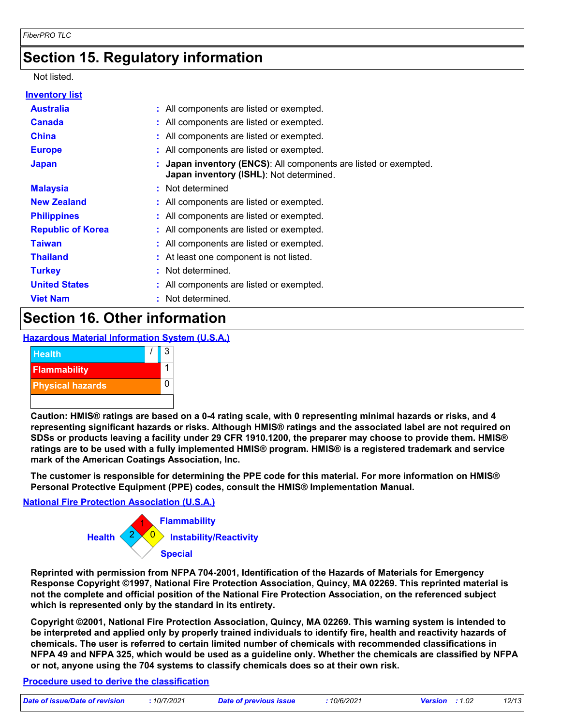### **Section 15. Regulatory information**

### Not listed.

| Inventory list           |                                                                                                             |
|--------------------------|-------------------------------------------------------------------------------------------------------------|
| <b>Australia</b>         | : All components are listed or exempted.                                                                    |
| <b>Canada</b>            | : All components are listed or exempted.                                                                    |
| <b>China</b>             | : All components are listed or exempted.                                                                    |
| <b>Europe</b>            | : All components are listed or exempted.                                                                    |
| <b>Japan</b>             | : Japan inventory (ENCS): All components are listed or exempted.<br>Japan inventory (ISHL): Not determined. |
| <b>Malaysia</b>          | : Not determined                                                                                            |
| <b>New Zealand</b>       | : All components are listed or exempted.                                                                    |
| <b>Philippines</b>       | : All components are listed or exempted.                                                                    |
| <b>Republic of Korea</b> | : All components are listed or exempted.                                                                    |
| <b>Taiwan</b>            | : All components are listed or exempted.                                                                    |
| <b>Thailand</b>          | : At least one component is not listed.                                                                     |
| <b>Turkey</b>            | : Not determined.                                                                                           |
| <b>United States</b>     | : All components are listed or exempted.                                                                    |
| <b>Viet Nam</b>          | : Not determined.                                                                                           |
|                          |                                                                                                             |

### **Section 16. Other information**

### **Hazardous Material Information System (U.S.A.)**



**Caution: HMIS® ratings are based on a 0-4 rating scale, with 0 representing minimal hazards or risks, and 4 representing significant hazards or risks. Although HMIS® ratings and the associated label are not required on SDSs or products leaving a facility under 29 CFR 1910.1200, the preparer may choose to provide them. HMIS® ratings are to be used with a fully implemented HMIS® program. HMIS® is a registered trademark and service mark of the American Coatings Association, Inc.**

**The customer is responsible for determining the PPE code for this material. For more information on HMIS® Personal Protective Equipment (PPE) codes, consult the HMIS® Implementation Manual.**

### **National Fire Protection Association (U.S.A.)**



**Reprinted with permission from NFPA 704-2001, Identification of the Hazards of Materials for Emergency Response Copyright ©1997, National Fire Protection Association, Quincy, MA 02269. This reprinted material is not the complete and official position of the National Fire Protection Association, on the referenced subject which is represented only by the standard in its entirety.**

**Copyright ©2001, National Fire Protection Association, Quincy, MA 02269. This warning system is intended to be interpreted and applied only by properly trained individuals to identify fire, health and reactivity hazards of chemicals. The user is referred to certain limited number of chemicals with recommended classifications in NFPA 49 and NFPA 325, which would be used as a guideline only. Whether the chemicals are classified by NFPA or not, anyone using the 704 systems to classify chemicals does so at their own risk.**

### **Procedure used to derive the classification**

| Date of issue/Date of revision | 10/7/2021 | Date of previous issue | 10/6/2021 | <b>Version</b> : $1.02$ | 12/13 |
|--------------------------------|-----------|------------------------|-----------|-------------------------|-------|
|                                |           |                        |           |                         |       |